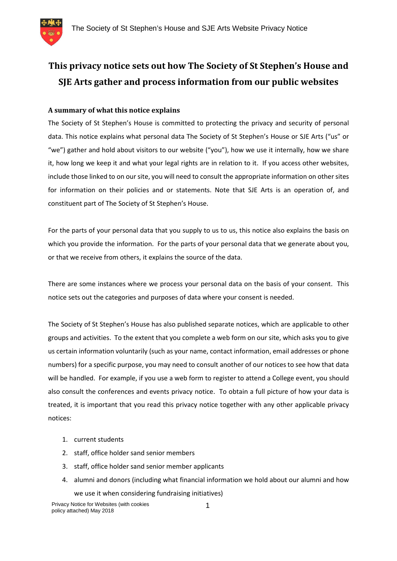

# **This privacy notice sets out how The Society of St Stephen's House and SJE Arts gather and process information from our public websites**

## **A summary of what this notice explains**

The Society of St Stephen's House is committed to protecting the privacy and security of personal data. This notice explains what personal data The Society of St Stephen's House or SJE Arts ("us" or "we") gather and hold about visitors to our website ("you"), how we use it internally, how we share it, how long we keep it and what your legal rights are in relation to it. If you access other websites, include those linked to on our site, you will need to consult the appropriate information on other sites for information on their policies and or statements. Note that SJE Arts is an operation of, and constituent part of The Society of St Stephen's House.

For the parts of your personal data that you supply to us to us, this notice also explains the basis on which you provide the information. For the parts of your personal data that we generate about you, or that we receive from others, it explains the source of the data.

There are some instances where we process your personal data on the basis of your consent. This notice sets out the categories and purposes of data where your consent is needed.

The Society of St Stephen's House has also published separate notices, which are applicable to other groups and activities. To the extent that you complete a web form on our site, which asks you to give us certain information voluntarily (such as your name, contact information, email addresses or phone numbers) for a specific purpose, you may need to consult another of our notices to see how that data will be handled. For example, if you use a web form to register to attend a College event, you should also consult the conferences and events privacy notice. To obtain a full picture of how your data is treated, it is important that you read this privacy notice together with any other applicable privacy notices:

- 1. current students
- 2. staff, office holder sand senior members
- 3. staff, office holder sand senior member applicants
- 4. alumni and donors (including what financial information we hold about our alumni and how we use it when considering fundraising initiatives)

Privacy Notice for Websites (with cookies policy attached) May 2018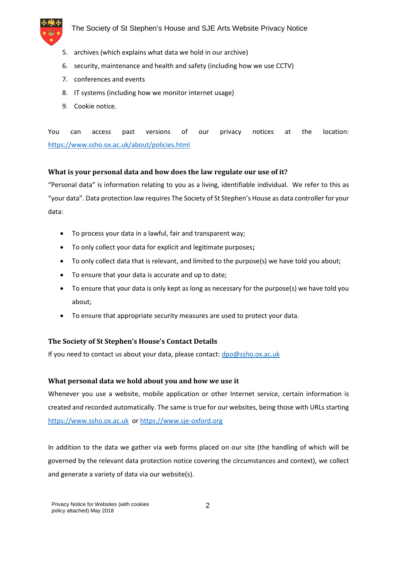

### The Society of St Stephen's House and SJE Arts Website Privacy Notice

- 5. archives (which explains what data we hold in our archive)
- 6. security, maintenance and health and safety (including how we use CCTV)
- 7. conferences and events
- 8. IT systems (including how we monitor internet usage)
- 9. Cookie notice.

You can access past versions of our privacy notices at the location: https://www.ssho.ox.ac.uk/about/policies.html

#### **What is your personal data and how does the law regulate our use of it?**

"Personal data" is information relating to you as a living, identifiable individual. We refer to this as "your data". Data protection law requires The Society of St Stephen's House as data controller for your data:

- To process your data in a lawful, fair and transparent way;
- To only collect your data for explicit and legitimate purposes**;**
- To only collect data that is relevant, and limited to the purpose(s) we have told you about;
- To ensure that your data is accurate and up to date;
- To ensure that your data is only kept as long as necessary for the purpose(s) we have told you about;
- To ensure that appropriate security measures are used to protect your data.

#### **The Society of St Stephen's House's Contact Details**

If you need to contact us about your data, please contact: dpo@ssho.ox.ac.uk

#### **What personal data we hold about you and how we use it**

Whenever you use a website, mobile application or other Internet service, certain information is created and recorded automatically. The same is true for our websites, being those with URLs starting https://www.ssho.ox.ac.uk or https://www.sje-oxford.org

In addition to the data we gather via web forms placed on our site (the handling of which will be governed by the relevant data protection notice covering the circumstances and context), we collect and generate a variety of data via our website(s).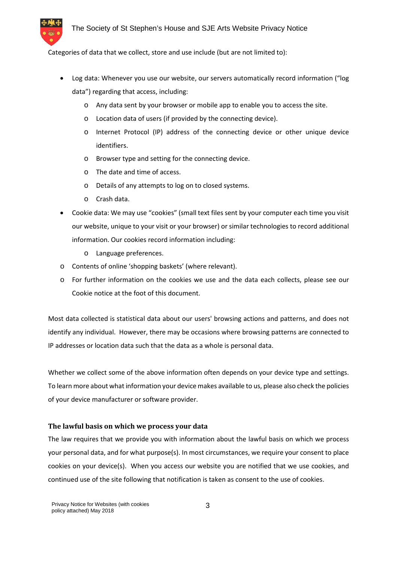

Categories of data that we collect, store and use include (but are not limited to):

- Log data: Whenever you use our website, our servers automatically record information ("log data") regarding that access, including:
	- o Any data sent by your browser or mobile app to enable you to access the site.
	- o Location data of users (if provided by the connecting device).
	- Internet Protocol (IP) address of the connecting device or other unique device identifiers.
	- o Browser type and setting for the connecting device.
	- o The date and time of access.
	- o Details of any attempts to log on to closed systems.
	- o Crash data.
- Cookie data: We may use "cookies" (small text files sent by your computer each time you visit our website, unique to your visit or your browser) or similar technologies to record additional information. Our cookies record information including:
	- o Language preferences.
- o Contents of online 'shopping baskets' (where relevant).
- o For further information on the cookies we use and the data each collects, please see our Cookie notice at the foot of this document.

Most data collected is statistical data about our users' browsing actions and patterns, and does not identify any individual. However, there may be occasions where browsing patterns are connected to IP addresses or location data such that the data as a whole is personal data.

Whether we collect some of the above information often depends on your device type and settings. To learn more about what information your device makes available to us, please also check the policies of your device manufacturer or software provider.

#### **The lawful basis on which we process your data**

The law requires that we provide you with information about the lawful basis on which we process your personal data, and for what purpose(s). In most circumstances, we require your consent to place cookies on your device(s). When you access our website you are notified that we use cookies, and continued use of the site following that notification is taken as consent to the use of cookies.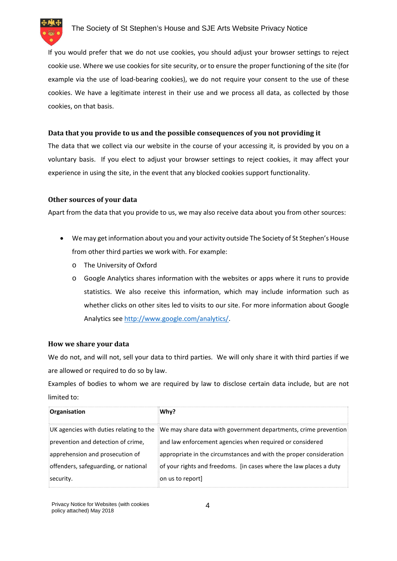

If you would prefer that we do not use cookies, you should adjust your browser settings to reject cookie use. Where we use cookies for site security, or to ensure the proper functioning of the site (for example via the use of load-bearing cookies), we do not require your consent to the use of these cookies. We have a legitimate interest in their use and we process all data, as collected by those cookies, on that basis.

## **Data that you provide to us and the possible consequences of you not providing it**

The data that we collect via our website in the course of your accessing it, is provided by you on a voluntary basis. If you elect to adjust your browser settings to reject cookies, it may affect your experience in using the site, in the event that any blocked cookies support functionality.

#### **Other sources of your data**

Apart from the data that you provide to us, we may also receive data about you from other sources:

- We may get information about you and your activity outside The Society of St Stephen's House from other third parties we work with. For example:
	- o The University of Oxford
	- o Google Analytics shares information with the websites or apps where it runs to provide statistics. We also receive this information, which may include information such as whether clicks on other sites led to visits to our site. For more information about Google Analytics see http://www.google.com/analytics/.

#### **How we share your data**

We do not, and will not, sell your data to third parties. We will only share it with third parties if we are allowed or required to do so by law.

Examples of bodies to whom we are required by law to disclose certain data include, but are not limited to:

| Organisation                         | Whv?                                                                                                    |  |
|--------------------------------------|---------------------------------------------------------------------------------------------------------|--|
|                                      | UK agencies with duties relating to the We may share data with government departments, crime prevention |  |
| prevention and detection of crime,   | and law enforcement agencies when required or considered                                                |  |
| apprehension and prosecution of      | appropriate in the circumstances and with the proper consideration                                      |  |
| offenders, safeguarding, or national | of your rights and freedoms. [in cases where the law places a duty                                      |  |
| security.                            | on us to report                                                                                         |  |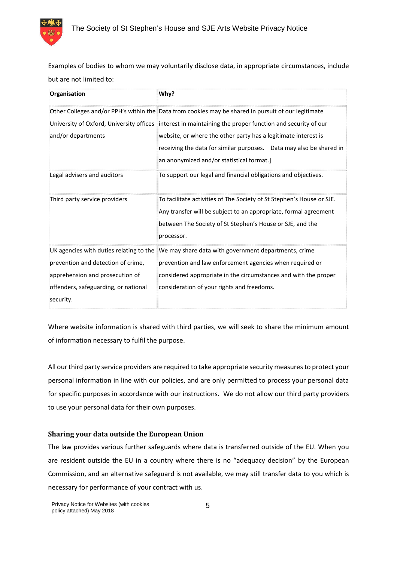

Examples of bodies to whom we may voluntarily disclose data, in appropriate circumstances, include but are not limited to:

| Organisation                            | Why?                                                                                                     |  |
|-----------------------------------------|----------------------------------------------------------------------------------------------------------|--|
|                                         | Other Colleges and/or PPH's within the Data from cookies may be shared in pursuit of our legitimate      |  |
|                                         | University of Oxford, University offices interest in maintaining the proper function and security of our |  |
| and/or departments                      | website, or where the other party has a legitimate interest is                                           |  |
|                                         | receiving the data for similar purposes.  Data may also be shared in                                     |  |
|                                         | an anonymized and/or statistical format.]                                                                |  |
| Legal advisers and auditors             | To support our legal and financial obligations and objectives.                                           |  |
| Third party service providers           | To facilitate activities of The Society of St Stephen's House or SJE.                                    |  |
|                                         | Any transfer will be subject to an appropriate, formal agreement                                         |  |
|                                         | between The Society of St Stephen's House or SJE, and the                                                |  |
|                                         | processor.                                                                                               |  |
| UK agencies with duties relating to the | We may share data with government departments, crime                                                     |  |
| prevention and detection of crime,      | prevention and law enforcement agencies when required or                                                 |  |
| apprehension and prosecution of         | considered appropriate in the circumstances and with the proper                                          |  |
| offenders, safeguarding, or national    | consideration of your rights and freedoms.                                                               |  |
| security.                               |                                                                                                          |  |

Where website information is shared with third parties, we will seek to share the minimum amount of information necessary to fulfil the purpose.

All our third party service providers are required to take appropriate security measures to protect your personal information in line with our policies, and are only permitted to process your personal data for specific purposes in accordance with our instructions. We do not allow our third party providers to use your personal data for their own purposes.

#### **Sharing your data outside the European Union**

The law provides various further safeguards where data is transferred outside of the EU. When you are resident outside the EU in a country where there is no "adequacy decision" by the European Commission, and an alternative safeguard is not available, we may still transfer data to you which is necessary for performance of your contract with us.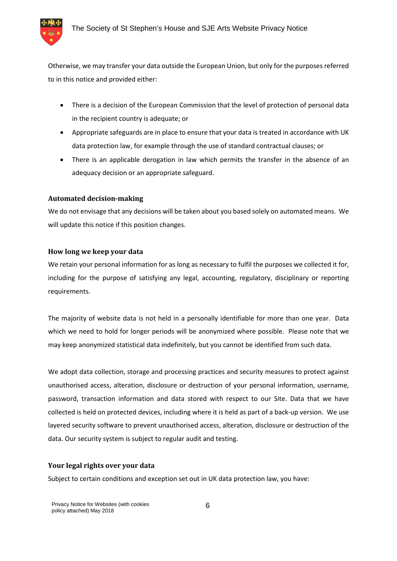

Otherwise, we may transfer your data outside the European Union, but only for the purposes referred to in this notice and provided either:

- There is a decision of the European Commission that the level of protection of personal data in the recipient country is adequate; or
- Appropriate safeguards are in place to ensure that your data is treated in accordance with UK data protection law, for example through the use of standard contractual clauses; or
- There is an applicable derogation in law which permits the transfer in the absence of an adequacy decision or an appropriate safeguard.

#### **Automated decision-making**

We do not envisage that any decisions will be taken about you based solely on automated means. We will update this notice if this position changes.

#### **How long we keep your data**

We retain your personal information for as long as necessary to fulfil the purposes we collected it for, including for the purpose of satisfying any legal, accounting, regulatory, disciplinary or reporting requirements.

The majority of website data is not held in a personally identifiable for more than one year. Data which we need to hold for longer periods will be anonymized where possible. Please note that we may keep anonymized statistical data indefinitely, but you cannot be identified from such data.

We adopt data collection, storage and processing practices and security measures to protect against unauthorised access, alteration, disclosure or destruction of your personal information, username, password, transaction information and data stored with respect to our Site. Data that we have collected is held on protected devices, including where it is held as part of a back-up version. We use layered security software to prevent unauthorised access, alteration, disclosure or destruction of the data. Our security system is subject to regular audit and testing.

#### **Your legal rights over your data**

Subject to certain conditions and exception set out in UK data protection law, you have: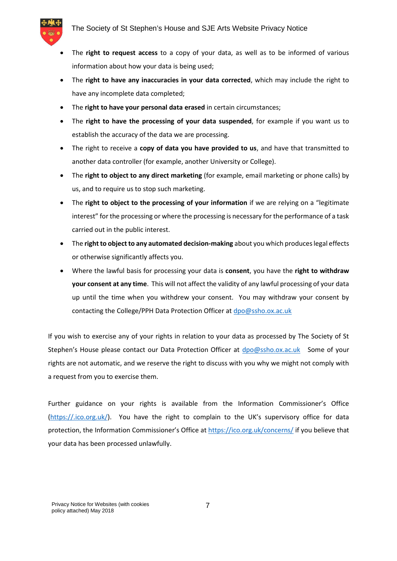

- The **right to request access** to a copy of your data, as well as to be informed of various information about how your data is being used;
- The **right to have any inaccuracies in your data corrected**, which may include the right to have any incomplete data completed;
- The **right to have your personal data erased** in certain circumstances;
- The **right to have the processing of your data suspended**, for example if you want us to establish the accuracy of the data we are processing.
- The right to receive a **copy of data you have provided to us**, and have that transmitted to another data controller (for example, another University or College).
- The **right to object to any direct marketing** (for example, email marketing or phone calls) by us, and to require us to stop such marketing.
- The **right to object to the processing of your information** if we are relying on a "legitimate interest" for the processing or where the processing is necessary for the performance of a task carried out in the public interest.
- The **right to object to any automated decision-making** about you which produces legal effects or otherwise significantly affects you.
- Where the lawful basis for processing your data is **consent**, you have the **right to withdraw your consent at any time**. This will not affect the validity of any lawful processing of your data up until the time when you withdrew your consent. You may withdraw your consent by contacting the College/PPH Data Protection Officer at dpo@ssho.ox.ac.uk

If you wish to exercise any of your rights in relation to your data as processed by The Society of St Stephen's House please contact our Data Protection Officer at dpo@ssho.ox.ac.uk Some of your rights are not automatic, and we reserve the right to discuss with you why we might not comply with a request from you to exercise them.

Further guidance on your rights is available from the Information Commissioner's Office (https://.ico.org.uk/). You have the right to complain to the UK's supervisory office for data protection, the Information Commissioner's Office at https://ico.org.uk/concerns/ if you believe that your data has been processed unlawfully.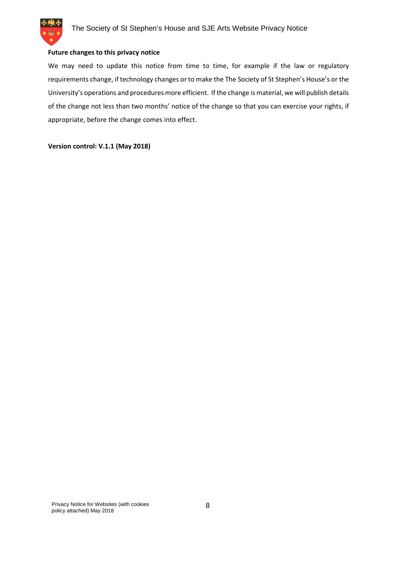

### **Future changes to this privacy notice**

We may need to update this notice from time to time, for example if the law or regulatory requirements change, if technology changes or to make the The Society of St Stephen's House's or the University's operations and procedures more efficient. If the change is material, we will publish details of the change not less than two months' notice of the change so that you can exercise your rights, if appropriate, before the change comes into effect.

**Version control: V.1.1 (May 2018)**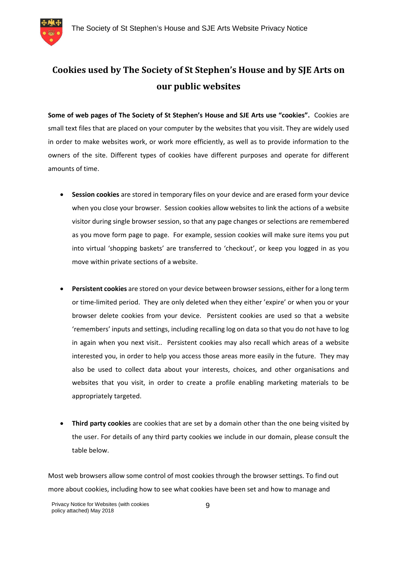

## **Cookies used by The Society of St Stephen's House and by SJE Arts on our public websites**

**Some of web pages of The Society of St Stephen's House and SJE Arts use "cookies".** Cookies are small text files that are placed on your computer by the websites that you visit. They are widely used in order to make websites work, or work more efficiently, as well as to provide information to the owners of the site. Different types of cookies have different purposes and operate for different amounts of time.

- **Session cookies** are stored in temporary files on your device and are erased form your device when you close your browser. Session cookies allow websites to link the actions of a website visitor during single browser session, so that any page changes or selections are remembered as you move form page to page. For example, session cookies will make sure items you put into virtual 'shopping baskets' are transferred to 'checkout', or keep you logged in as you move within private sections of a website.
- **Persistent cookies** are stored on your device between browser sessions, either for a long term or time-limited period. They are only deleted when they either 'expire' or when you or your browser delete cookies from your device. Persistent cookies are used so that a website 'remembers' inputs and settings, including recalling log on data so that you do not have to log in again when you next visit.. Persistent cookies may also recall which areas of a website interested you, in order to help you access those areas more easily in the future. They may also be used to collect data about your interests, choices, and other organisations and websites that you visit, in order to create a profile enabling marketing materials to be appropriately targeted.
- **Third party cookies** are cookies that are set by a domain other than the one being visited by the user. For details of any third party cookies we include in our domain, please consult the table below.

Most web browsers allow some control of most cookies through the browser settings. To find out more about cookies, including how to see what cookies have been set and how to manage and